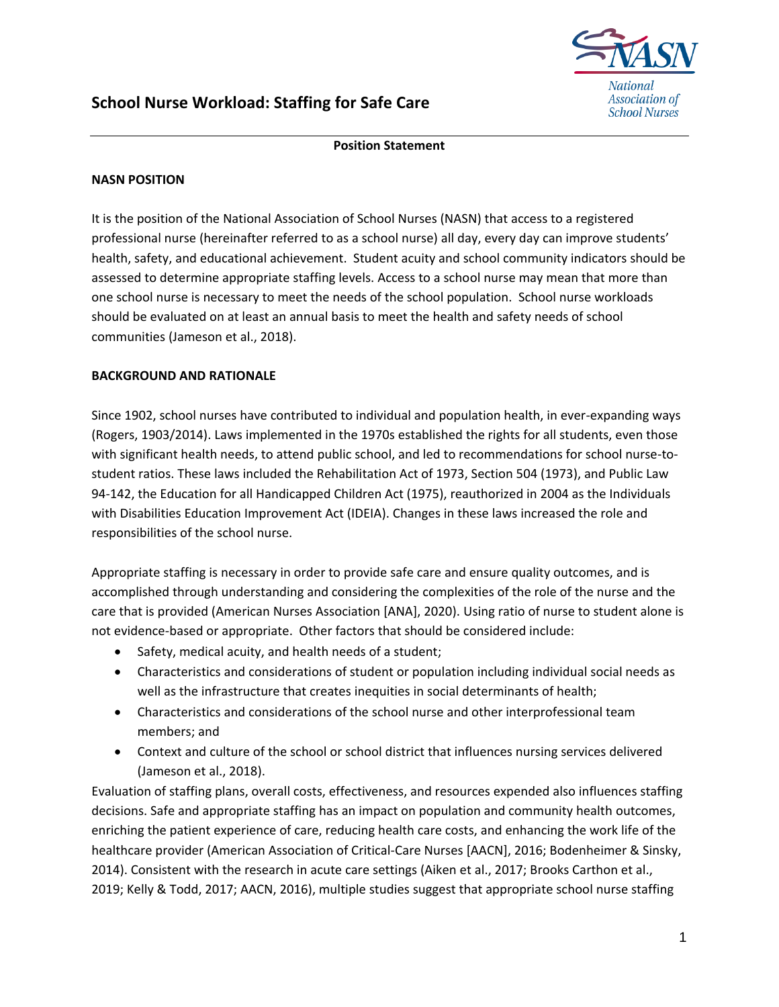

## **Position Statement**

## **NASN POSITION**

It is the position of the National Association of School Nurses (NASN) that access to a registered professional nurse (hereinafter referred to as a school nurse) all day, every day can improve students' health, safety, and educational achievement. Student acuity and school community indicators should be assessed to determine appropriate staffing levels. Access to a school nurse may mean that more than one school nurse is necessary to meet the needs of the school population. School nurse workloads should be evaluated on at least an annual basis to meet the health and safety needs of school communities (Jameson et al., 2018).

## **BACKGROUND AND RATIONALE**

Since 1902, school nurses have contributed to individual and population health, in ever-expanding ways (Rogers, 1903/2014). Laws implemented in the 1970s established the rights for all students, even those with significant health needs, to attend public school, and led to recommendations for school nurse-tostudent ratios. These laws included the Rehabilitation Act of 1973, Section 504 (1973), and Public Law 94-142, the Education for all Handicapped Children Act (1975), reauthorized in 2004 as the Individuals with Disabilities Education Improvement Act (IDEIA). Changes in these laws increased the role and responsibilities of the school nurse.

Appropriate staffing is necessary in order to provide safe care and ensure quality outcomes, and is accomplished through understanding and considering the complexities of the role of the nurse and the care that is provided (American Nurses Association [ANA], 2020). Using ratio of nurse to student alone is not evidence-based or appropriate. Other factors that should be considered include:

- Safety, medical acuity, and health needs of a student;
- Characteristics and considerations of student or population including individual social needs as well as the infrastructure that creates inequities in social determinants of health;
- Characteristics and considerations of the school nurse and other interprofessional team members; and
- Context and culture of the school or school district that influences nursing services delivered (Jameson et al., 2018).

Evaluation of staffing plans, overall costs, effectiveness, and resources expended also influences staffing decisions. Safe and appropriate staffing has an impact on population and community health outcomes, enriching the patient experience of care, reducing health care costs, and enhancing the work life of the healthcare provider (American Association of Critical-Care Nurses [AACN], 2016; Bodenheimer & Sinsky, 2014). Consistent with the research in acute care settings (Aiken et al., 2017; Brooks Carthon et al., 2019; Kelly & Todd, 2017; AACN, 2016), multiple studies suggest that appropriate school nurse staffing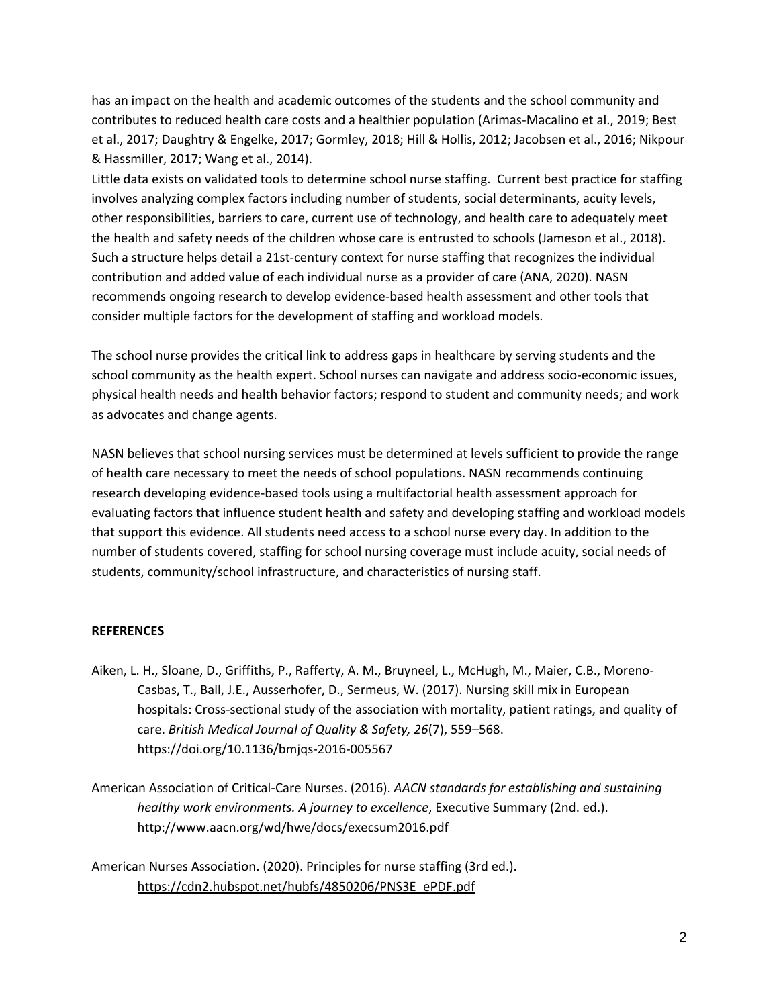has an impact on the health and academic outcomes of the students and the school community and contributes to reduced health care costs and a healthier population (Arimas-Macalino et al., 2019; Best et al., 2017; Daughtry & Engelke, 2017; Gormley, 2018; Hill & Hollis, 2012; Jacobsen et al., 2016; Nikpour & Hassmiller, 2017; Wang et al., 2014).

Little data exists on validated tools to determine school nurse staffing. Current best practice for staffing involves analyzing complex factors including number of students, social determinants, acuity levels, other responsibilities, barriers to care, current use of technology, and health care to adequately meet the health and safety needs of the children whose care is entrusted to schools (Jameson et al., 2018). Such a structure helps detail a 21st-century context for nurse staffing that recognizes the individual contribution and added value of each individual nurse as a provider of care (ANA, 2020). NASN recommends ongoing research to develop evidence-based health assessment and other tools that consider multiple factors for the development of staffing and workload models.

The school nurse provides the critical link to address gaps in healthcare by serving students and the school community as the health expert. School nurses can navigate and address socio-economic issues, physical health needs and health behavior factors; respond to student and community needs; and work as advocates and change agents.

NASN believes that school nursing services must be determined at levels sufficient to provide the range of health care necessary to meet the needs of school populations. NASN recommends continuing research developing evidence-based tools using a multifactorial health assessment approach for evaluating factors that influence student health and safety and developing staffing and workload models that support this evidence. All students need access to a school nurse every day. In addition to the number of students covered, staffing for school nursing coverage must include acuity, social needs of students, community/school infrastructure, and characteristics of nursing staff.

## **REFERENCES**

- Aiken, L. H., Sloane, D., Griffiths, P., Rafferty, A. M., Bruyneel, L., McHugh, M., Maier, C.B., Moreno-Casbas, T., Ball, J.E., Ausserhofer, D., Sermeus, W. (2017). Nursing skill mix in European hospitals: Cross-sectional study of the association with mortality, patient ratings, and quality of care. *British Medical Journal of Quality & Safety, 26*(7), 559–568. https://doi.org/10.1136/bmjqs-2016-005567
- American Association of Critical-Care Nurses. (2016). *AACN standards for establishing and sustaining healthy work environments. A journey to excellence*, Executive Summary (2nd. ed.). http://www.aacn.org/wd/hwe/docs/execsum2016.pdf

American Nurses Association. (2020). Principles for nurse staffing (3rd ed.). https://cdn2.hubspot.net/hubfs/4850206/PNS3E\_ePDF.pdf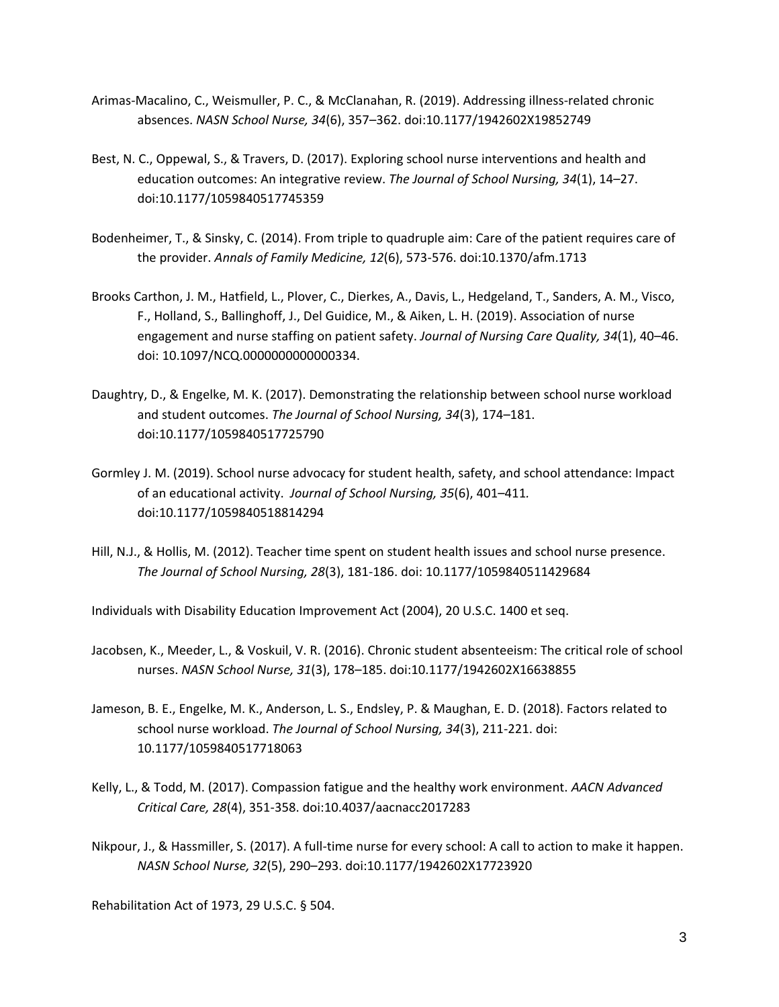- Arimas-Macalino, C., Weismuller, P. C., & McClanahan, R. (2019). Addressing illness-related chronic absences. *NASN School Nurse, 34*(6), 357–362. doi:10.1177/1942602X19852749
- Best, N. C., Oppewal, S., & Travers, D. (2017). Exploring school nurse interventions and health and education outcomes: An integrative review. *The Journal of School Nursing, 34*(1), 14–27. doi:10.1177/1059840517745359
- Bodenheimer, T., & Sinsky, C. (2014). From triple to quadruple aim: Care of the patient requires care of the provider. *Annals of Family Medicine, 12*(6), 573-576. doi:10.1370/afm.1713
- Brooks Carthon, J. M., Hatfield, L., Plover, C., Dierkes, A., Davis, L., Hedgeland, T., Sanders, A. M., Visco, F., Holland, S., Ballinghoff, J., Del Guidice, M., & Aiken, L. H. (2019). Association of nurse engagement and nurse staffing on patient safety. *Journal of Nursing Care Quality, 34*(1), 40–46. doi: 10.1097/NCQ.0000000000000334.
- Daughtry, D., & Engelke, M. K. (2017). Demonstrating the relationship between school nurse workload and student outcomes. *The Journal of School Nursing, 34*(3), 174–181. doi:10.1177/1059840517725790
- Gormley J. M. (2019). School nurse advocacy for student health, safety, and school attendance: Impact of an educational activity. *Journal of School Nursing, 35*(6), 401–411*.*  doi:10.1177/1059840518814294
- Hill, N.J., & Hollis, M. (2012). Teacher time spent on student health issues and school nurse presence. *The Journal of School Nursing, 28*(3), 181-186. doi: 10.1177/1059840511429684

Individuals with Disability Education Improvement Act (2004), 20 U.S.C. 1400 et seq.

- Jacobsen, K., Meeder, L., & Voskuil, V. R. (2016). Chronic student absenteeism: The critical role of school nurses. *NASN School Nurse, 31*(3), 178–185. doi:10.1177/1942602X16638855
- Jameson, B. E., Engelke, M. K., Anderson, L. S., Endsley, P. & Maughan, E. D. (2018). Factors related to school nurse workload. *The Journal of School Nursing, 34*(3), 211-221. doi: 10.1177/1059840517718063
- Kelly, L., & Todd, M. (2017). Compassion fatigue and the healthy work environment. *AACN Advanced Critical Care, 28*(4), 351-358. doi:10.4037/aacnacc2017283
- Nikpour, J., & Hassmiller, S. (2017). A full-time nurse for every school: A call to action to make it happen. *NASN School Nurse, 32*(5), 290–293. doi:10.1177/1942602X17723920

Rehabilitation Act of 1973, 29 U.S.C. § 504.